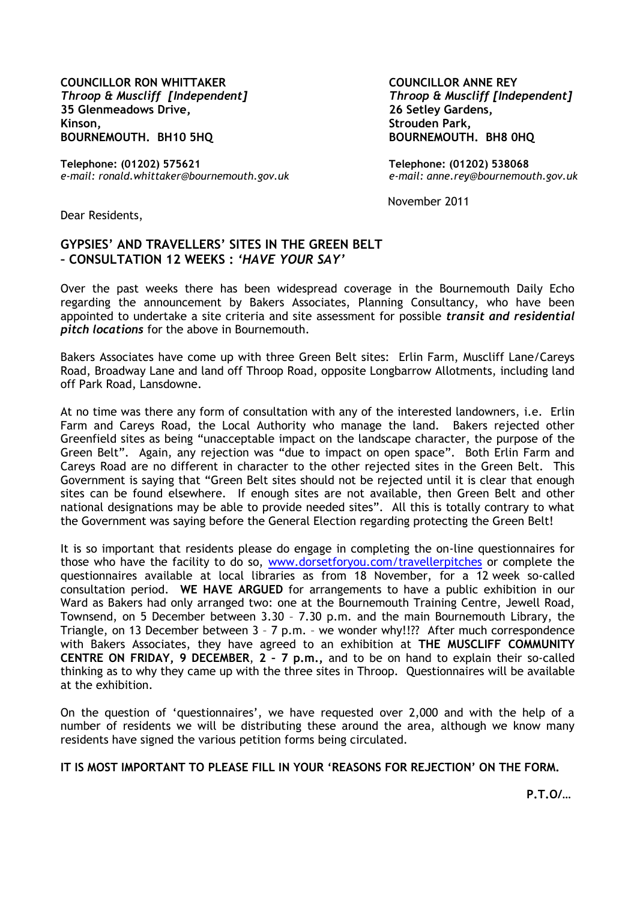**COUNCILLOR RON WHITTAKER**  *Throop & Muscliff [Independent]* **35 Glenmeadows Drive, Kinson, BOURNEMOUTH. BH10 5HQ**

**Telephone: (01202) 575621**  *e-mail: ronald.whittaker@bournemouth.gov.uk*  **COUNCILLOR ANNE REY** *Throop & Muscliff [Independent]* **26 Setley Gardens, Strouden Park, BOURNEMOUTH. BH8 0HQ**

**Telephone: (01202) 538068** *e-mail: anne.rey@bournemouth.gov.uk*

November 2011

Dear Residents,

## **GYPSIES' AND TRAVELLERS' SITES IN THE GREEN BELT – CONSULTATION 12 WEEKS :** *'HAVE YOUR SAY'*

Over the past weeks there has been widespread coverage in the Bournemouth Daily Echo regarding the announcement by Bakers Associates, Planning Consultancy, who have been appointed to undertake a site criteria and site assessment for possible *transit and residential pitch locations* for the above in Bournemouth.

Bakers Associates have come up with three Green Belt sites: Erlin Farm, Muscliff Lane/Careys Road, Broadway Lane and land off Throop Road, opposite Longbarrow Allotments, including land off Park Road, Lansdowne.

At no time was there any form of consultation with any of the interested landowners, i.e. Erlin Farm and Careys Road, the Local Authority who manage the land. Bakers rejected other Greenfield sites as being "unacceptable impact on the landscape character, the purpose of the Green Belt". Again, any rejection was "due to impact on open space". Both Erlin Farm and Careys Road are no different in character to the other rejected sites in the Green Belt. This Government is saying that "Green Belt sites should not be rejected until it is clear that enough sites can be found elsewhere. If enough sites are not available, then Green Belt and other national designations may be able to provide needed sites". All this is totally contrary to what the Government was saying before the General Election regarding protecting the Green Belt!

It is so important that residents please do engage in completing the on-line questionnaires for those who have the facility to do so, [www.dorsetforyou.com/travellerpitches](http://www.dorsetforyou.com/travellerpitches) or complete the questionnaires available at local libraries as from 18 November, for a 12 week so-called consultation period. **WE HAVE ARGUED** for arrangements to have a public exhibition in our Ward as Bakers had only arranged two: one at the Bournemouth Training Centre, Jewell Road, Townsend, on 5 December between 3.30 – 7.30 p.m. and the main Bournemouth Library, the Triangle, on 13 December between 3 – 7 p.m. – we wonder why!!?? After much correspondence with Bakers Associates, they have agreed to an exhibition at **THE MUSCLIFF COMMUNITY CENTRE ON FRIDAY, 9 DECEMBER**, **2 – 7 p.m.,** and to be on hand to explain their so-called thinking as to why they came up with the three sites in Throop. Questionnaires will be available at the exhibition.

On the question of 'questionnaires', we have requested over 2,000 and with the help of a number of residents we will be distributing these around the area, although we know many residents have signed the various petition forms being circulated.

**IT IS MOST IMPORTANT TO PLEASE FILL IN YOUR 'REASONS FOR REJECTION' ON THE FORM.**

**P.T.O/…**